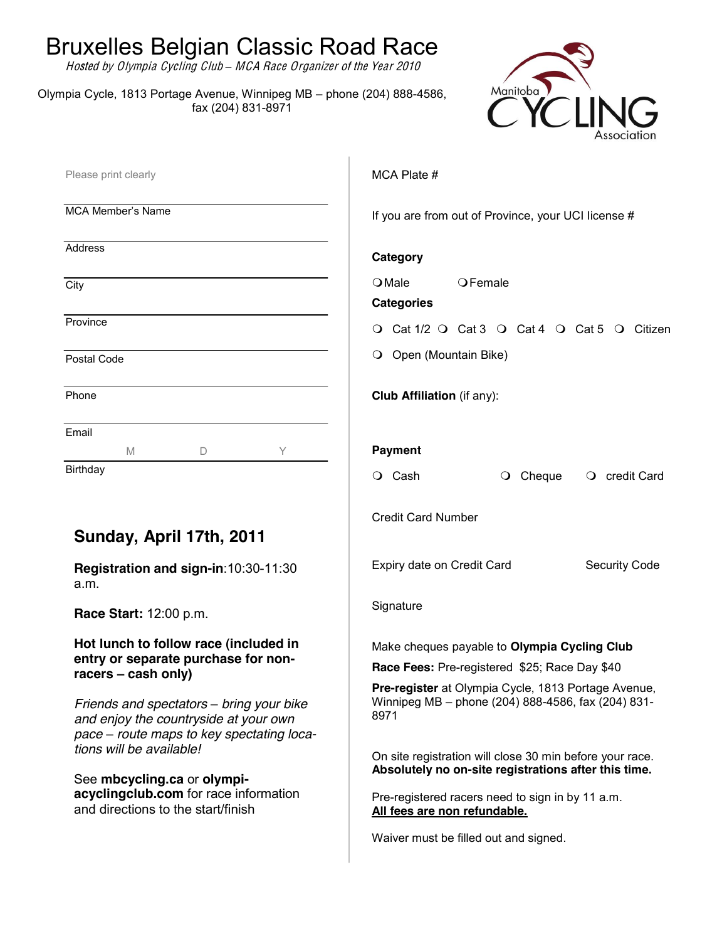## Bruxelles Belgian Classic Road Race

Hosted by Olympia Cycling Club *±* MCA Race Organiz<sup>e</sup><sup>r</sup> <sup>o</sup>f <sup>t</sup>h<sup>e</sup> Year 2010

Olympia Cycle, 1813 Portage Avenue, Winnipeg MB - phone (204) 888-4586, fax (204) 831-8971



| If you are from out of Province, your UCI license #<br>Category                                                                                                                                                                                                                                                                                                                                                                                                     |
|---------------------------------------------------------------------------------------------------------------------------------------------------------------------------------------------------------------------------------------------------------------------------------------------------------------------------------------------------------------------------------------------------------------------------------------------------------------------|
|                                                                                                                                                                                                                                                                                                                                                                                                                                                                     |
|                                                                                                                                                                                                                                                                                                                                                                                                                                                                     |
| $O$ Male<br>OFemale<br><b>Categories</b>                                                                                                                                                                                                                                                                                                                                                                                                                            |
| O Cat 1/2 O Cat 3 O Cat 4 O Cat 5 O Citizen                                                                                                                                                                                                                                                                                                                                                                                                                         |
| O Open (Mountain Bike)                                                                                                                                                                                                                                                                                                                                                                                                                                              |
| Club Affiliation (if any):                                                                                                                                                                                                                                                                                                                                                                                                                                          |
| <b>Payment</b><br>O Cash<br>$\bigcirc$ Cheque<br>credit Card<br>$\cup$                                                                                                                                                                                                                                                                                                                                                                                              |
| <b>Credit Card Number</b><br>Expiry date on Credit Card<br><b>Security Code</b>                                                                                                                                                                                                                                                                                                                                                                                     |
| Signature                                                                                                                                                                                                                                                                                                                                                                                                                                                           |
| Make cheques payable to Olympia Cycling Club<br>Race Fees: Pre-registered \$25; Race Day \$40<br>Pre-register at Olympia Cycle, 1813 Portage Avenue,<br>Winnipeg MB - phone (204) 888-4586, fax (204) 831-<br>8971<br>On site registration will close 30 min before your race.<br>Absolutely no on-site registrations after this time.<br>Pre-registered racers need to sign in by 11 a.m.<br>All fees are non refundable.<br>Waiver must be filled out and signed. |
|                                                                                                                                                                                                                                                                                                                                                                                                                                                                     |